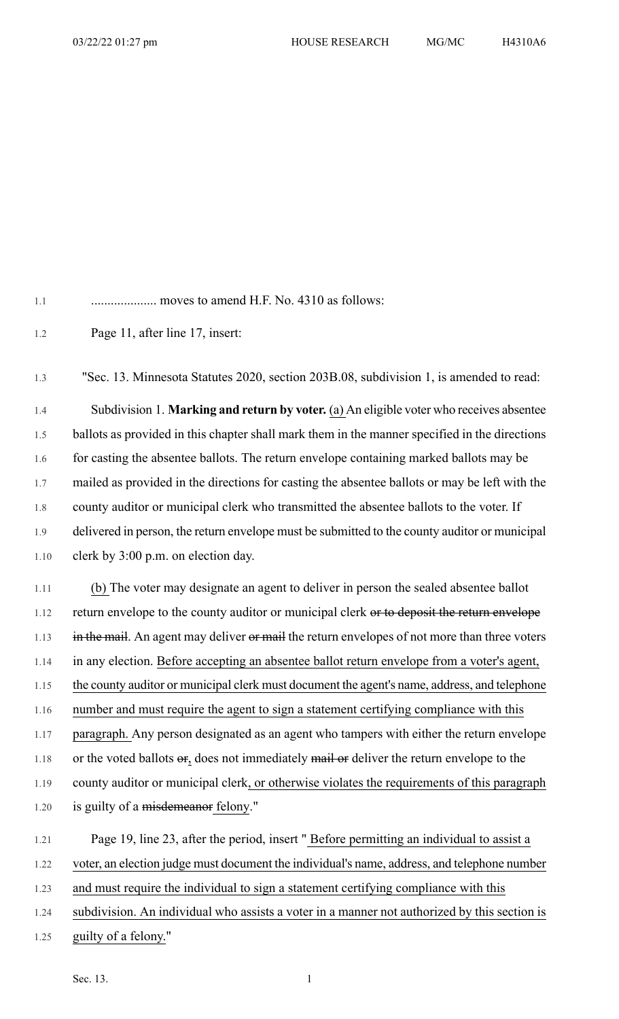1.1 .................... moves to amend H.F. No. 4310 as follows:

1.2 Page 11, after line 17, insert:

1.3 "Sec. 13. Minnesota Statutes 2020, section 203B.08, subdivision 1, is amended to read: 1.4 Subdivision 1. **Marking and return by voter.** (a) An eligible voter who receives absentee 1.5 ballots as provided in this chapter shall mark them in the manner specified in the directions 1.6 for casting the absentee ballots. The return envelope containing marked ballots may be 1.7 mailed as provided in the directions for casting the absentee ballots or may be left with the 1.8 county auditor or municipal clerk who transmitted the absentee ballots to the voter. If 1.9 delivered in person, the return envelope must be submitted to the county auditor or municipal 1.10 clerk by 3:00 p.m. on election day.

1.11 (b) The voter may designate an agent to deliver in person the sealed absentee ballot 1.12 return envelope to the county auditor or municipal clerk or to deposit the return envelope 1.13 in the mail. An agent may deliver or mail the return envelopes of not more than three voters 1.14 in any election. Before accepting an absentee ballot return envelope from a voter's agent, 1.15 the county auditor or municipal clerk must document the agent's name, address, and telephone 1.16 number and must require the agent to sign a statement certifying compliance with this 1.17 paragraph. Any person designated as an agent who tampers with either the return envelope 1.18 or the voted ballots  $\Theta$ , does not immediately mail  $\Theta$  deliver the return envelope to the 1.19 county auditor or municipal clerk, or otherwise violates the requirements of this paragraph 1.20 is guilty of a misdemeanor felony."

1.21 Page 19, line 23, after the period, insert " Before permitting an individual to assist a 1.22 voter, an election judge must document the individual's name, address, and telephone number 1.23 and must require the individual to sign a statement certifying compliance with this 1.24 subdivision. An individual who assists a voter in a manner not authorized by this section is

1.25 guilty of a felony."